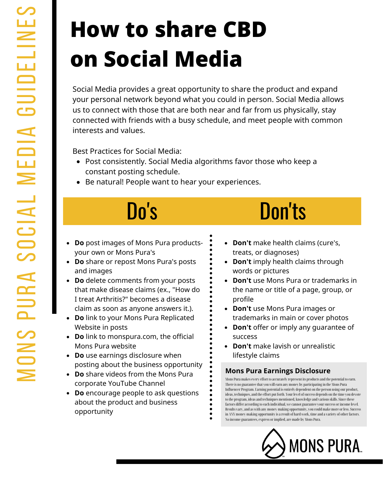# **How to share CBD on Social Media**

Social Media provides a great opportunity to share the product and expand your personal network beyond what you could in person. Social Media allows us to connect with those that are both near and far from us physically, stay connected with friends with a busy schedule, and meet people with common interests and values.

Best Practices for Social Media:

- Post consistently. Social Media algorithms favor those who keep a constant posting schedule.
- Be natural! People want to hear your experiences.

- **Do** post images of Mons Pura productsyour own or Mons Pura's
- **Do** share or repost Mons Pura's posts and images
- **Do** delete comments from your posts that make disease claims (ex., "How do I treat Arthritis?" becomes a disease claim as soon as anyone answers it.).
- **Do** link to your Mons Pura Replicated Website in posts
- **Do** link to monspura.com, the official Mons Pura website
- **Do** use earnings disclosure when posting about the business opportunity
- **Do** share videos from the Mons Pura corporate YouTube Channel
- **Do** encourage people to ask questions about the product and business opportunity

### Do's Don'ts

- **Don't** make health claims (cure's,  $\bullet$ treats, or diagnoses)
- **Don't** imply health claims through words or pictures
- **Don't** use Mons Pura or trademarks in the name or title of a page, group, or profile
- **Don't** use Mons Pura images or trademarks in main or cover photos
- **Don't** offer or imply any guarantee of success
- **Don't** make lavish or unrealistic lifestyle claims

### **Mons Pura Earnings Disclosure**

Mons Pura makes every effort to accurately represent its products and the potential to earn. There is no guarantee that you will earn any money by participating in the Mons Pura Influencer Program. Earning potential is entirely dependent on the person using our product, ideas, techniques, and the effort put forth. Your level of success depends on the time you devote to the program, ideas and techniques mentioned, knowledge and various skills. Since these factors differ according to each individual, we cannot guarantee yoursuccess orincome level. Results vary, and as with any money-making opportunity, you could make more or less. Success in ANY money-making opportunity is a result of hard work, time and a variety of other factors. No income guarantees, express orimplied, are made by Mons Pura.